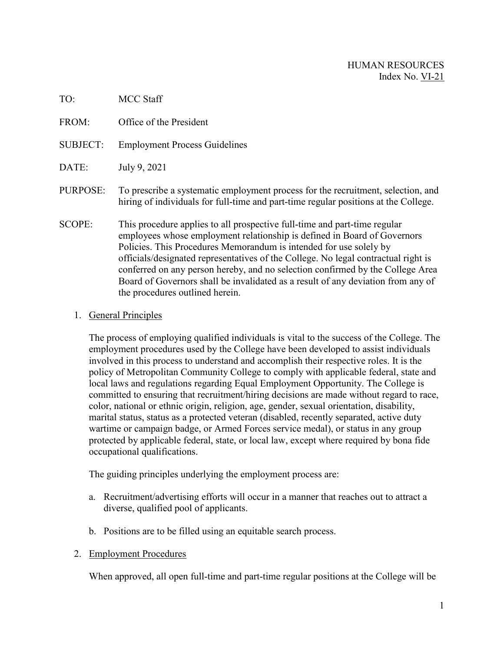| TO:             | <b>MCC Staff</b>                                                                                                                                                                                                                                                                                                                                                                                                                                                                                                           |
|-----------------|----------------------------------------------------------------------------------------------------------------------------------------------------------------------------------------------------------------------------------------------------------------------------------------------------------------------------------------------------------------------------------------------------------------------------------------------------------------------------------------------------------------------------|
| FROM:           | Office of the President                                                                                                                                                                                                                                                                                                                                                                                                                                                                                                    |
| <b>SUBJECT:</b> | <b>Employment Process Guidelines</b>                                                                                                                                                                                                                                                                                                                                                                                                                                                                                       |
| DATE:           | July 9, 2021                                                                                                                                                                                                                                                                                                                                                                                                                                                                                                               |
| PURPOSE:        | To prescribe a systematic employment process for the recruitment, selection, and<br>hiring of individuals for full-time and part-time regular positions at the College.                                                                                                                                                                                                                                                                                                                                                    |
| <b>SCOPE:</b>   | This procedure applies to all prospective full-time and part-time regular<br>employees whose employment relationship is defined in Board of Governors<br>Policies. This Procedures Memorandum is intended for use solely by<br>officials/designated representatives of the College. No legal contractual right is<br>conferred on any person hereby, and no selection confirmed by the College Area<br>Board of Governors shall be invalidated as a result of any deviation from any of<br>the procedures outlined herein. |

## 1. General Principles

The process of employing qualified individuals is vital to the success of the College. The employment procedures used by the College have been developed to assist individuals involved in this process to understand and accomplish their respective roles. It is the policy of Metropolitan Community College to comply with applicable federal, state and local laws and regulations regarding Equal Employment Opportunity. The College is committed to ensuring that recruitment/hiring decisions are made without regard to race, color, national or ethnic origin, religion, age, gender, sexual orientation, disability, marital status, status as a protected veteran (disabled, recently separated, active duty wartime or campaign badge, or Armed Forces service medal), or status in any group protected by applicable federal, state, or local law, except where required by bona fide occupational qualifications.

The guiding principles underlying the employment process are:

- a. Recruitment/advertising efforts will occur in a manner that reaches out to attract a diverse, qualified pool of applicants.
- b. Positions are to be filled using an equitable search process.
- 2. Employment Procedures

When approved, all open full-time and part-time regular positions at the College will be